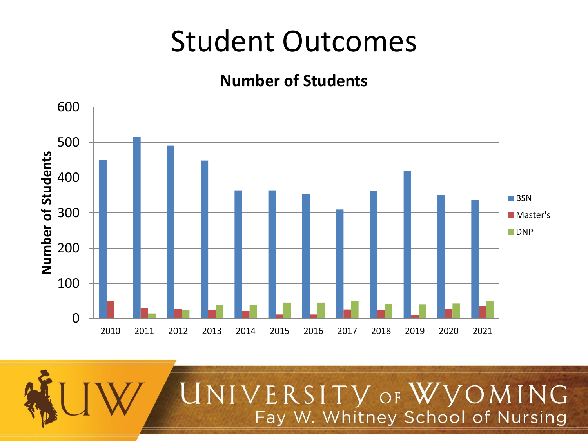#### **Number of Students**



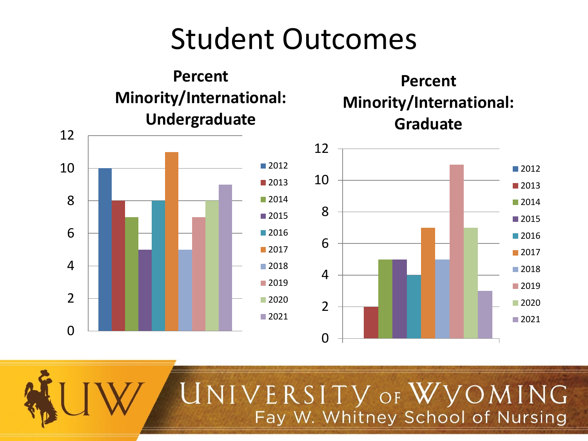

#### **Percent Minority/International: Graduate**



## UNIVERSITY OF WYOMING Fay W. Whitney School of Nursing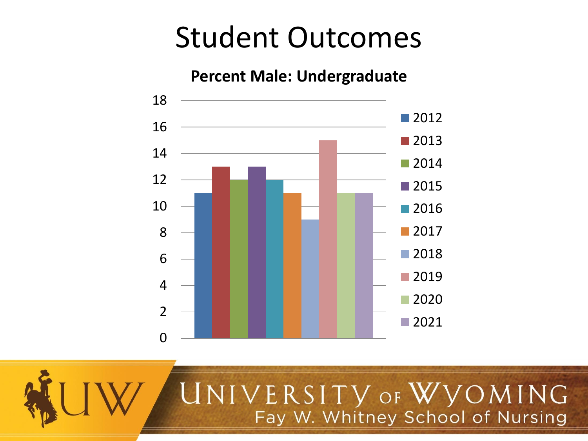#### **Percent Male: Undergraduate**



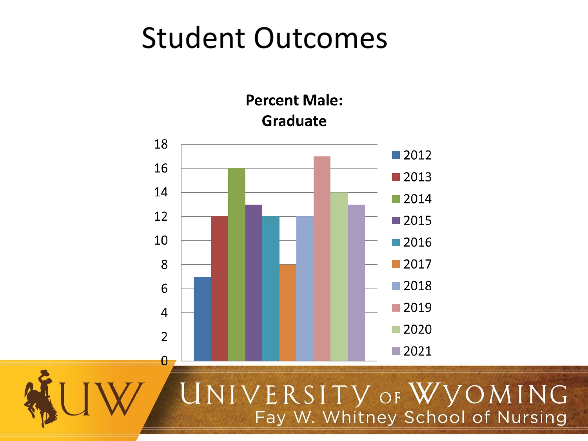**Percent Male: Graduate** 





### UNIVERSITY OF WYOMING Fay W. Whitney School of Nursing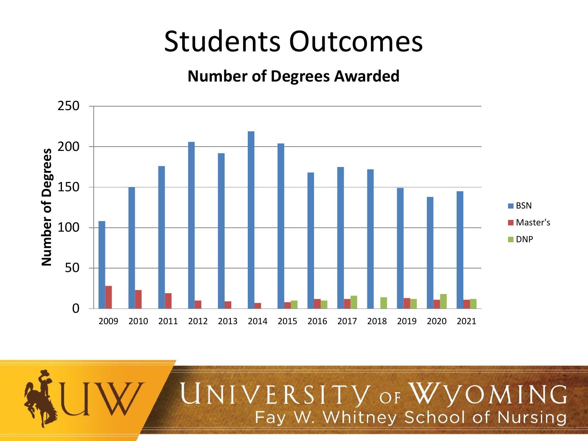#### **Number of Degrees Awarded**



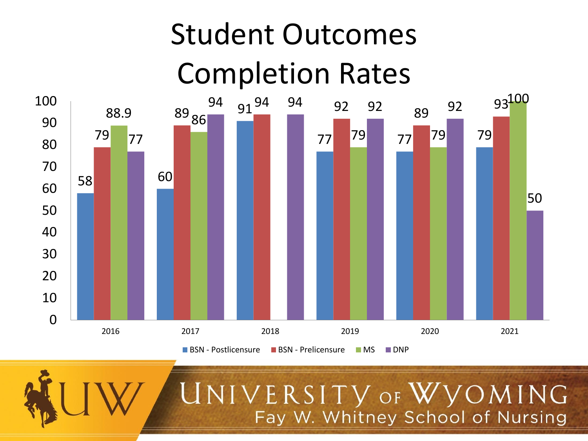# Student Outcomes Completion Rates



VERSITY OF WVOMING Fay W. Whitney School of Nursing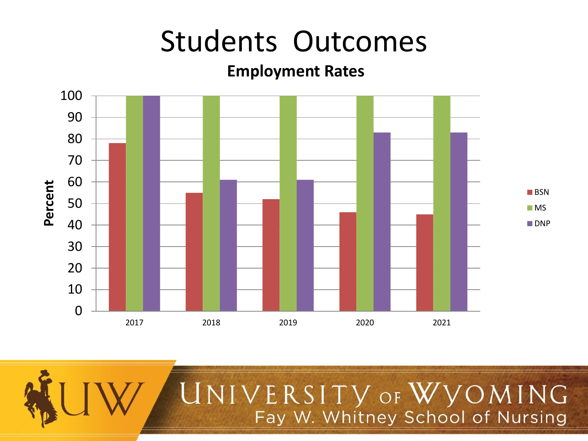#### **Employment Rates**



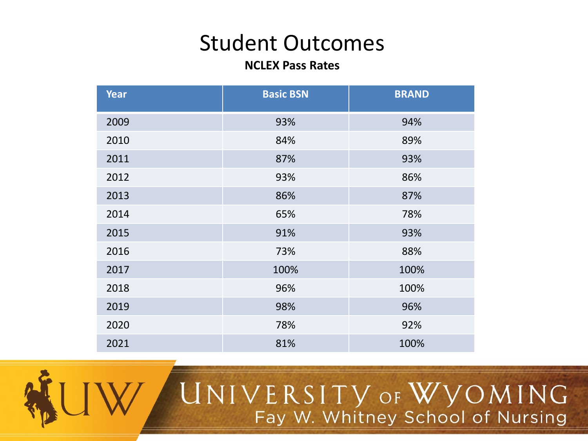#### **NCLEX Pass Rates**

| <b>Year</b> | <b>Basic BSN</b> | <b>BRAND</b> |
|-------------|------------------|--------------|
| 2009        | 93%              | 94%          |
| 2010        | 84%              | 89%          |
| 2011        | 87%              | 93%          |
| 2012        | 93%              | 86%          |
| 2013        | 86%              | 87%          |
| 2014        | 65%              | 78%          |
| 2015        | 91%              | 93%          |
| 2016        | 73%              | 88%          |
| 2017        | 100%             | 100%         |
| 2018        | 96%              | 100%         |
| 2019        | 98%              | 96%          |
| 2020        | 78%              | 92%          |
| 2021        | 81%              | 100%         |



# UNIVERSITY OF WYOMING